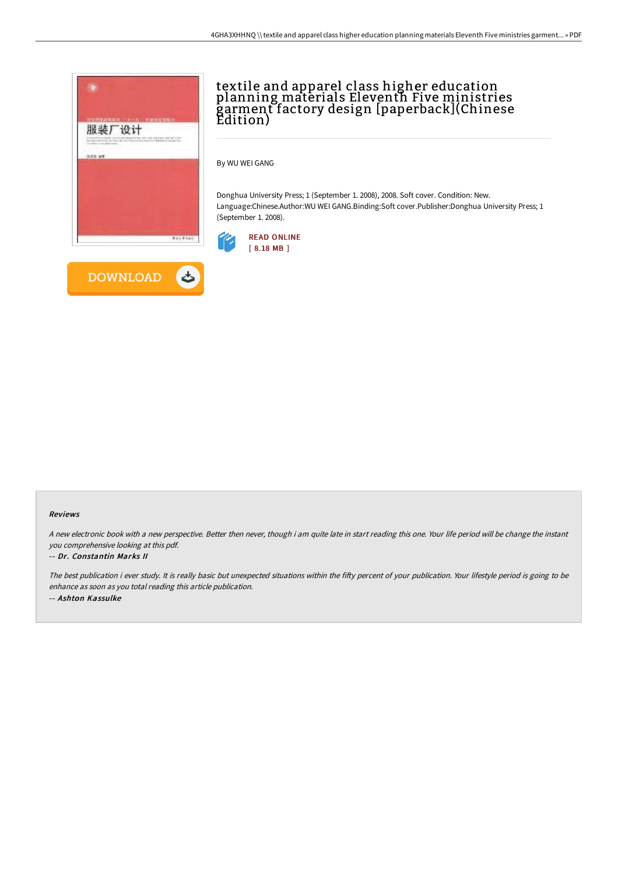

**DOWNLOAD** 

ٹ

# textile and apparel class higher education planning materials Eleventh Five ministries garment factory design [paperback](Chinese Edition)

By WU WEI GANG

Donghua University Press; 1 (September 1. 2008), 2008. Soft cover. Condition: New. Language:Chinese.Author:WU WEI GANG.Binding:Soft cover.Publisher:Donghua University Press; 1 (September 1. 2008).



#### Reviews

<sup>A</sup> new electronic book with <sup>a</sup> new perspective. Better then never, though i am quite late in start reading this one. Your life period will be change the instant you comprehensive looking at this pdf.

### -- Dr. Constantin Marks II

The best publication i ever study. It is really basic but unexpected situations within the fifty percent of your publication. Your lifestyle period is going to be enhance as soon as you total reading this article publication. -- Ashton Kassulke